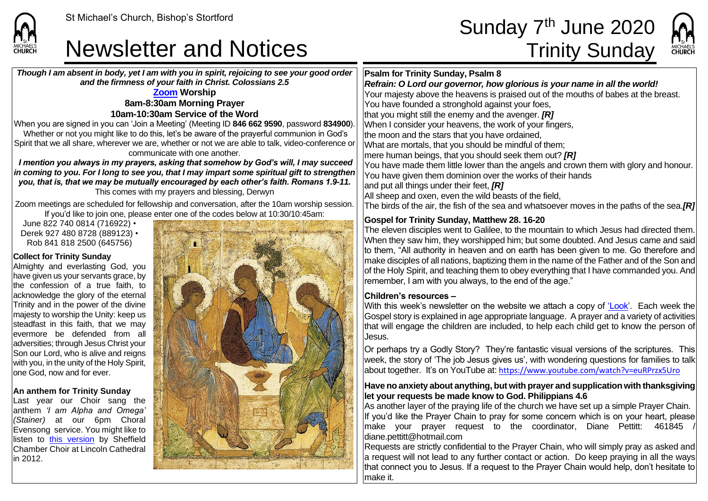## Newsletter and Notices Trinity Sunday

## St Michael's Church, Bishop's Stortford  $\mathsf{Sunday\ 7}^{\mathsf{th}}$  June 2020



*Though I am absent in body, yet I am with you in spirit, rejoicing to see your good order and the firmness of your faith in Christ. Colossians 2.5* **[Zoom](https://zoom.us/) Worship 8am-8:30am Morning Prayer 10am-10:30am Service of the Word** When you are signed in you can 'Join a Meeting' (Meeting ID **846 662 9590**, password **834900**). Whether or not you might like to do this, let's be aware of the prayerful communion in God's Spirit that we all share, wherever we are, whether or not we are able to talk, video-conference or communicate with one another. *I mention you always in my prayers, asking that somehow by God's will, I may succeed in coming to you. For I long to see you, that I may impart some spiritual gift to strengthen you, that is, that we may be mutually encouraged by each other's faith. Romans 1.9-11.* This comes with my prayers and blessing, Derwyn Zoom meetings are scheduled for fellowship and conversation, after the 10am worship session. If you'd like to join one, please enter one of the codes below at 10:30/10:45am: June 822 740 0814 (716922) • Derek 927 480 8728 (889123) • Rob 841 818 2500 (645756) **Collect for Trinity Sunday** Almighty and everlasting God, you have given us your servants grace, by the confession of a true faith, to acknowledge the glory of the eternal Trinity and in the power of the divine majesty to worship the Unity: keep us steadfast in this faith, that we may evermore be defended from all adversities; through Jesus Christ your Son our Lord, who is alive and reigns with you, in the unity of the Holy Spirit, lone God, now and for ever. **An anthem for Trinity Sunday** Last year our Choir sang the anthem *'I am Alpha and Omega' (Stainer)* at our 6pm Choral Evensong service. You might like to listen to [this version](https://www.youtube.com/watch?v=8w1ldlOn27w) by Sheffield Chamber Choir at Lincoln Cathedral in 2012. **Psalm for Trinity Sunday, Psalm 8** *Refrain: O Lord our governor, how glorious is your name in all the world!* Your majesty above the heavens is praised out of the mouths of babes at the breast. You have founded a stronghold against your foes, that you might still the enemy and the avenger. *[R]* When I consider your heavens, the work of your fingers, the moon and the stars that you have ordained, What are mortals, that you should be mindful of them; mere human beings, that you should seek them out? *[R]* You have made them little lower than the angels and crown them with glory and honour. You have given them dominion over the works of their hands and put all things under their feet, *[R]* All sheep and oxen, even the wild beasts of the field. The birds of the air, the fish of the sea and whatsoever moves in the paths of the sea.*[R]* **Gospel for Trinity Sunday, Matthew 28. 16-20** The eleven disciples went to Galilee, to the mountain to which Jesus had directed them. When they saw him, they worshipped him; but some doubted. And Jesus came and said to them, "All authority in heaven and on earth has been given to me. Go therefore and make disciples of all nations, baptizing them in the name of the Father and of the Son and of the Holy Spirit, and teaching them to obey everything that I have commanded you. And  $\mid$ remember. I am with you always, to the end of the age." **Children's resources –** With this week's newsletter on the website we attach a copy of ['Look'](https://saintmichaelweb.org.uk/Articles/542815/_Newsletter.aspx). Each week the Gospel story is explained in age appropriate language. A prayer and a variety of activities that will engage the children are included, to help each child get to know the person of Jesus. Or perhaps try a Godly Story? They're fantastic visual versions of the scriptures. This week, the story of 'The job Jesus gives us', with wondering questions for families to talk about together. It's on YouTube at: <https://www.youtube.com/watch?v=euRPrzx5Uro> **Have no anxiety about anything, but with prayer and supplication with thanksgiving let your requests be made know to God. Philippians 4.6** As another layer of the praying life of the church we have set up a simple Prayer Chain. If you'd like the Prayer Chain to pray for some concern which is on your heart, please make your prayer request to the coordinator, Diane Pettitt: 461845 / diane.pettitt@hotmail.com Requests are strictly confidential to the Prayer Chain, who will simply pray as asked and a request will not lead to any further contact or action. Do keep praying in all the ways that connect you to Jesus. If a request to the Prayer Chain would help, don't hesitate to make it.